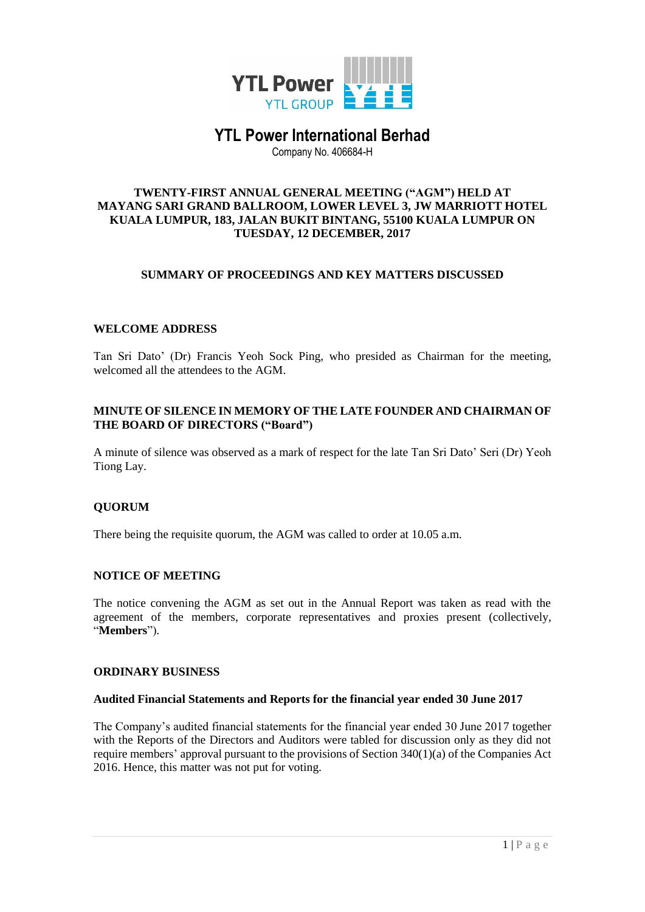

# **YTL Power International Berhad**

Company No. 406684-H

#### **TWENTY-FIRST ANNUAL GENERAL MEETING ("AGM") HELD AT MAYANG SARI GRAND BALLROOM, LOWER LEVEL 3, JW MARRIOTT HOTEL KUALA LUMPUR, 183, JALAN BUKIT BINTANG, 55100 KUALA LUMPUR ON TUESDAY, 12 DECEMBER, 2017**

## **SUMMARY OF PROCEEDINGS AND KEY MATTERS DISCUSSED**

## **WELCOME ADDRESS**

Tan Sri Dato' (Dr) Francis Yeoh Sock Ping, who presided as Chairman for the meeting, welcomed all the attendees to the AGM.

## **MINUTE OF SILENCE IN MEMORY OF THE LATE FOUNDER AND CHAIRMAN OF THE BOARD OF DIRECTORS ("Board")**

A minute of silence was observed as a mark of respect for the late Tan Sri Dato' Seri (Dr) Yeoh Tiong Lay.

## **QUORUM**

There being the requisite quorum, the AGM was called to order at 10.05 a.m.

#### **NOTICE OF MEETING**

The notice convening the AGM as set out in the Annual Report was taken as read with the agreement of the members, corporate representatives and proxies present (collectively, "**Members**").

#### **ORDINARY BUSINESS**

#### **Audited Financial Statements and Reports for the financial year ended 30 June 2017**

The Company's audited financial statements for the financial year ended 30 June 2017 together with the Reports of the Directors and Auditors were tabled for discussion only as they did not require members' approval pursuant to the provisions of Section 340(1)(a) of the Companies Act 2016. Hence, this matter was not put for voting.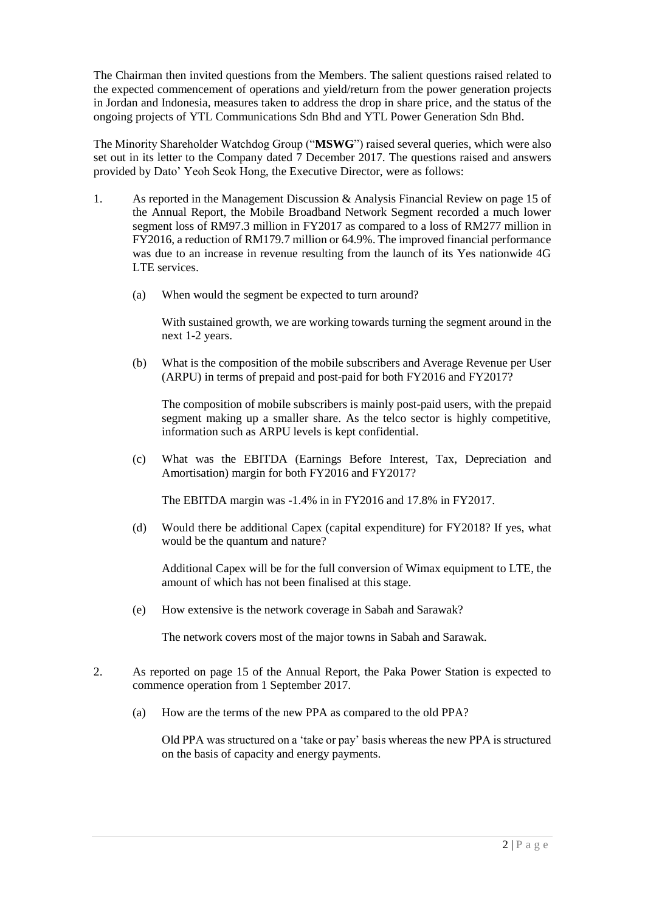The Chairman then invited questions from the Members. The salient questions raised related to the expected commencement of operations and yield/return from the power generation projects in Jordan and Indonesia, measures taken to address the drop in share price, and the status of the ongoing projects of YTL Communications Sdn Bhd and YTL Power Generation Sdn Bhd.

The Minority Shareholder Watchdog Group ("**MSWG**") raised several queries, which were also set out in its letter to the Company dated 7 December 2017. The questions raised and answers provided by Dato' Yeoh Seok Hong, the Executive Director, were as follows:

- 1. As reported in the Management Discussion & Analysis Financial Review on page 15 of the Annual Report, the Mobile Broadband Network Segment recorded a much lower segment loss of RM97.3 million in FY2017 as compared to a loss of RM277 million in FY2016, a reduction of RM179.7 million or 64.9%. The improved financial performance was due to an increase in revenue resulting from the launch of its Yes nationwide 4G LTE services.
	- (a) When would the segment be expected to turn around?

With sustained growth, we are working towards turning the segment around in the next 1-2 years.

(b) What is the composition of the mobile subscribers and Average Revenue per User (ARPU) in terms of prepaid and post-paid for both FY2016 and FY2017?

The composition of mobile subscribers is mainly post-paid users, with the prepaid segment making up a smaller share. As the telco sector is highly competitive, information such as ARPU levels is kept confidential.

(c) What was the EBITDA (Earnings Before Interest, Tax, Depreciation and Amortisation) margin for both FY2016 and FY2017?

The EBITDA margin was -1.4% in in FY2016 and 17.8% in FY2017.

(d) Would there be additional Capex (capital expenditure) for FY2018? If yes, what would be the quantum and nature?

Additional Capex will be for the full conversion of Wimax equipment to LTE, the amount of which has not been finalised at this stage.

(e) How extensive is the network coverage in Sabah and Sarawak?

The network covers most of the major towns in Sabah and Sarawak.

- 2. As reported on page 15 of the Annual Report, the Paka Power Station is expected to commence operation from 1 September 2017.
	- (a) How are the terms of the new PPA as compared to the old PPA?

Old PPA was structured on a 'take or pay' basis whereas the new PPA is structured on the basis of capacity and energy payments.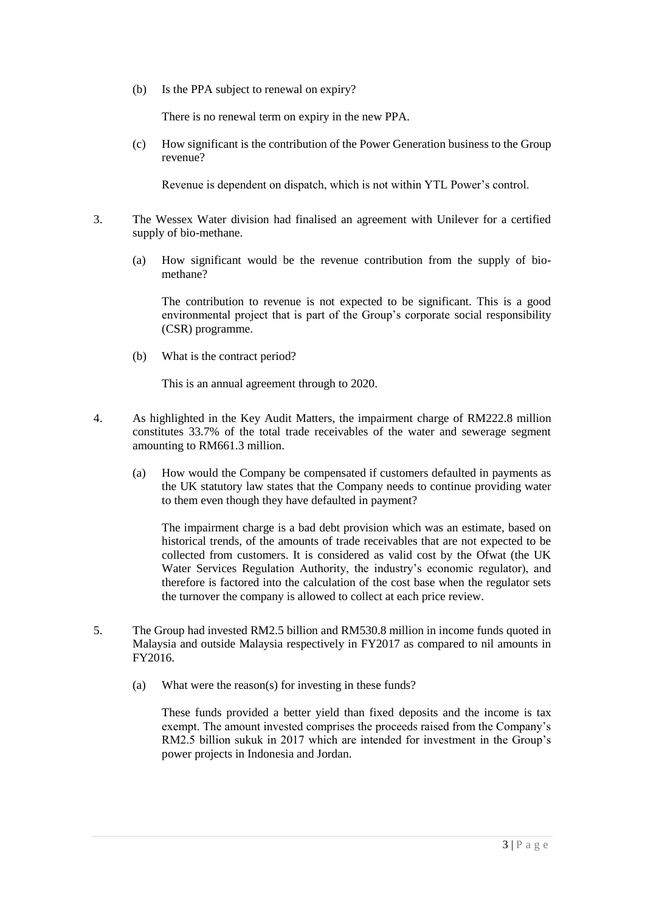(b) Is the PPA subject to renewal on expiry?

There is no renewal term on expiry in the new PPA.

(c) How significant is the contribution of the Power Generation business to the Group revenue?

Revenue is dependent on dispatch, which is not within YTL Power's control.

- 3. The Wessex Water division had finalised an agreement with Unilever for a certified supply of bio-methane.
	- (a) How significant would be the revenue contribution from the supply of biomethane?

The contribution to revenue is not expected to be significant. This is a good environmental project that is part of the Group's corporate social responsibility (CSR) programme.

(b) What is the contract period?

This is an annual agreement through to 2020.

- 4. As highlighted in the Key Audit Matters, the impairment charge of RM222.8 million constitutes 33.7% of the total trade receivables of the water and sewerage segment amounting to RM661.3 million.
	- (a) How would the Company be compensated if customers defaulted in payments as the UK statutory law states that the Company needs to continue providing water to them even though they have defaulted in payment?

The impairment charge is a bad debt provision which was an estimate, based on historical trends, of the amounts of trade receivables that are not expected to be collected from customers. It is considered as valid cost by the Ofwat (the UK Water Services Regulation Authority, the industry's economic regulator), and therefore is factored into the calculation of the cost base when the regulator sets the turnover the company is allowed to collect at each price review.

- 5. The Group had invested RM2.5 billion and RM530.8 million in income funds quoted in Malaysia and outside Malaysia respectively in FY2017 as compared to nil amounts in FY2016.
	- (a) What were the reason(s) for investing in these funds?

These funds provided a better yield than fixed deposits and the income is tax exempt. The amount invested comprises the proceeds raised from the Company's RM2.5 billion sukuk in 2017 which are intended for investment in the Group's power projects in Indonesia and Jordan.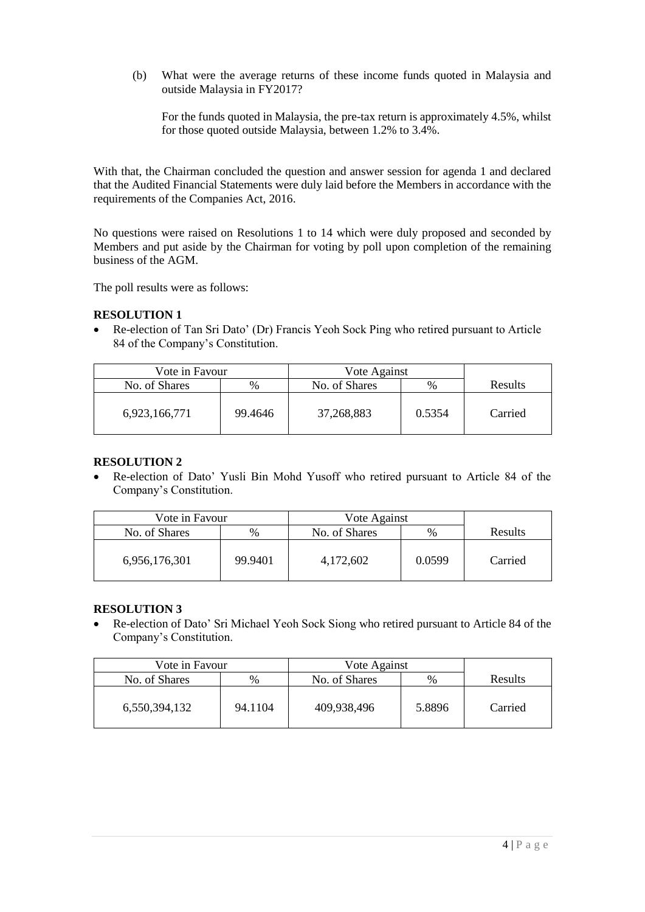(b) What were the average returns of these income funds quoted in Malaysia and outside Malaysia in FY2017?

For the funds quoted in Malaysia, the pre-tax return is approximately 4.5%, whilst for those quoted outside Malaysia, between 1.2% to 3.4%.

With that, the Chairman concluded the question and answer session for agenda 1 and declared that the Audited Financial Statements were duly laid before the Members in accordance with the requirements of the Companies Act, 2016.

No questions were raised on Resolutions 1 to 14 which were duly proposed and seconded by Members and put aside by the Chairman for voting by poll upon completion of the remaining business of the AGM.

The poll results were as follows:

#### **RESOLUTION 1**

• Re-election of Tan Sri Dato' (Dr) Francis Yeoh Sock Ping who retired pursuant to Article 84 of the Company's Constitution.

| Vote in Favour |         | Vote Against  |        |         |
|----------------|---------|---------------|--------|---------|
| No. of Shares  | %       | No. of Shares | $\%$   | Results |
| 6,923,166,771  | 99.4646 | 37,268,883    | 0.5354 | Carried |

#### **RESOLUTION 2**

• Re-election of Dato' Yusli Bin Mohd Yusoff who retired pursuant to Article 84 of the Company's Constitution.

| Vote in Favour |         | Vote Against  |               |         |
|----------------|---------|---------------|---------------|---------|
| No. of Shares  | $\%$    | No. of Shares | $\frac{0}{0}$ | Results |
| 6,956,176,301  | 99.9401 | 4,172,602     | 0.0599        | Carried |

## **RESOLUTION 3**

• Re-election of Dato' Sri Michael Yeoh Sock Siong who retired pursuant to Article 84 of the Company's Constitution.

| Vote in Favour |         | Vote Against  |               |         |
|----------------|---------|---------------|---------------|---------|
| No. of Shares  | %       | No. of Shares | $\frac{0}{0}$ | Results |
| 6,550,394,132  | 94.1104 | 409.938.496   | 5.8896        | Carried |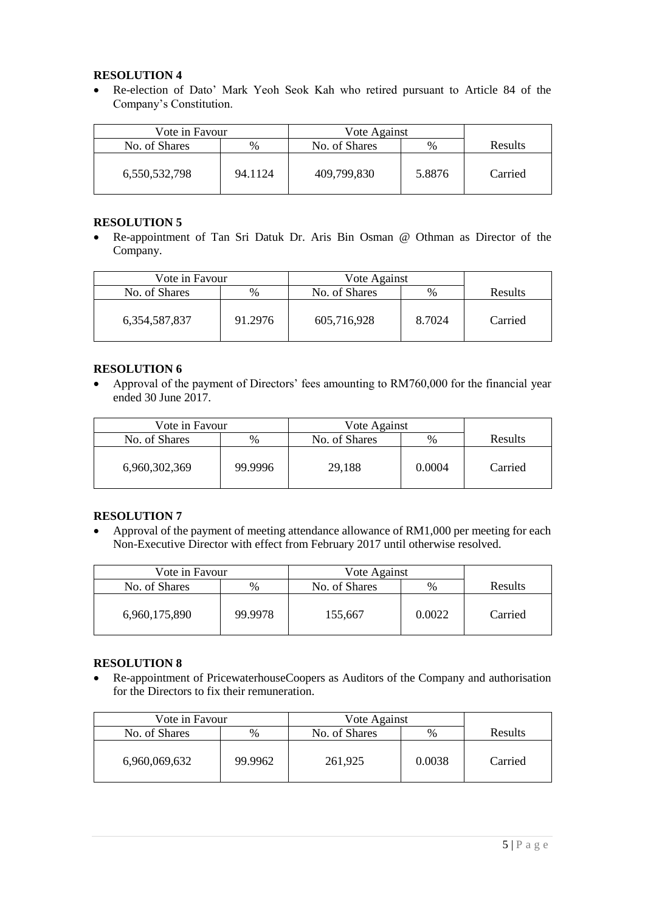## **RESOLUTION 4**

• Re-election of Dato' Mark Yeoh Seok Kah who retired pursuant to Article 84 of the Company's Constitution.

| Vote in Favour |         | Vote Against  |        |                |
|----------------|---------|---------------|--------|----------------|
| No. of Shares  | $\%$    | No. of Shares | %      | <b>Results</b> |
| 6,550,532,798  | 94.1124 | 409,799,830   | 5.8876 | Carried        |

## **RESOLUTION 5**

• Re-appointment of Tan Sri Datuk Dr. Aris Bin Osman @ Othman as Director of the Company.

| Vote in Favour   |         | Vote Against  |        |         |
|------------------|---------|---------------|--------|---------|
| No. of Shares    | %       | No. of Shares | %      | Results |
| 6, 354, 587, 837 | 91.2976 | 605,716,928   | 8.7024 | Carried |

## **RESOLUTION 6**

• Approval of the payment of Directors' fees amounting to RM760,000 for the financial year ended 30 June 2017.

| Vote in Favour |         | Vote Against  |               |         |
|----------------|---------|---------------|---------------|---------|
| No. of Shares  | %       | No. of Shares | $\frac{0}{0}$ | Results |
| 6,960,302,369  | 99.9996 | 29,188        | 0.0004        | Carried |

# **RESOLUTION 7**

• Approval of the payment of meeting attendance allowance of RM1,000 per meeting for each Non-Executive Director with effect from February 2017 until otherwise resolved.

| Vote in Favour |         | Vote Against  |        |         |
|----------------|---------|---------------|--------|---------|
| No. of Shares  | %       | No. of Shares | $\%$   | Results |
| 6,960,175,890  | 99.9978 | 155,667       | 0.0022 | Carried |

# **RESOLUTION 8**

• Re-appointment of PricewaterhouseCoopers as Auditors of the Company and authorisation for the Directors to fix their remuneration.

| Vote in Favour |         | Vote Against  |               |         |
|----------------|---------|---------------|---------------|---------|
| No. of Shares  | %       | No. of Shares | $\frac{0}{0}$ | Results |
| 6,960,069,632  | 99.9962 | 261,925       | 0.0038        | Carried |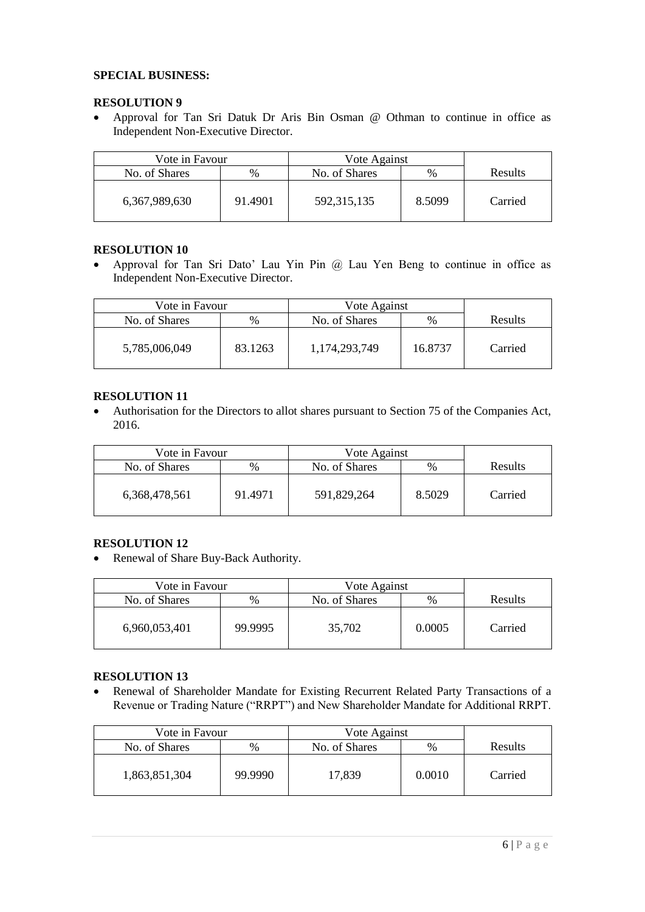#### **SPECIAL BUSINESS:**

#### **RESOLUTION 9**

• Approval for Tan Sri Datuk Dr Aris Bin Osman @ Othman to continue in office as Independent Non-Executive Director.

| Vote in Favour |         | Vote Against  |               |                |
|----------------|---------|---------------|---------------|----------------|
| No. of Shares  | %       | No. of Shares | $\frac{0}{0}$ | <b>Results</b> |
| 6,367,989,630  | 91.4901 | 592, 315, 135 | 8.5099        | Carried        |

#### **RESOLUTION 10**

• Approval for Tan Sri Dato' Lau Yin Pin @ Lau Yen Beng to continue in office as Independent Non-Executive Director.

| Vote in Favour |         | Vote Against  |               |                |
|----------------|---------|---------------|---------------|----------------|
| No. of Shares  | $\%$    | No. of Shares | $\frac{0}{0}$ | <b>Results</b> |
| 5,785,006,049  | 83.1263 | 1,174,293,749 | 16.8737       | Carried        |

#### **RESOLUTION 11**

• Authorisation for the Directors to allot shares pursuant to Section 75 of the Companies Act, 2016.

| Vote in Favour |         | Vote Against  |        |                |
|----------------|---------|---------------|--------|----------------|
| No. of Shares  | $\%$    | No. of Shares | $\%$   | <b>Results</b> |
| 6,368,478,561  | 91.4971 | 591,829,264   | 8.5029 | Carried        |

## **RESOLUTION 12**

• Renewal of Share Buy-Back Authority.

| Vote in Favour |         | Vote Against  |               |                |
|----------------|---------|---------------|---------------|----------------|
| No. of Shares  | $\%$    | No. of Shares | $\frac{0}{0}$ | <b>Results</b> |
| 6,960,053,401  | 99.9995 | 35,702        | 0.0005        | Carried        |

#### **RESOLUTION 13**

• Renewal of Shareholder Mandate for Existing Recurrent Related Party Transactions of a Revenue or Trading Nature ("RRPT") and New Shareholder Mandate for Additional RRPT.

| Vote in Favour |         | Vote Against  |        |                |
|----------------|---------|---------------|--------|----------------|
| No. of Shares  | $\%$    | No. of Shares | $\%$   | <b>Results</b> |
| 1,863,851,304  | 99.9990 | 17,839        | 0.0010 | Carried        |